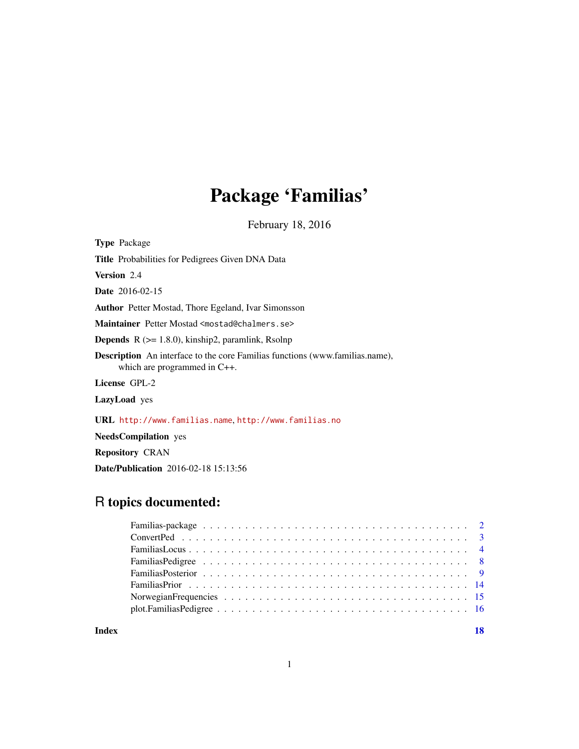# Package 'Familias'

February 18, 2016

Type Package

Title Probabilities for Pedigrees Given DNA Data

Version 2.4

Date 2016-02-15

Author Petter Mostad, Thore Egeland, Ivar Simonsson

Maintainer Petter Mostad <mostad@chalmers.se>

**Depends**  $R$  ( $> = 1.8.0$ ), kinship2, paramlink, Rsolnp

Description An interface to the core Familias functions (www.familias.name), which are programmed in C++.

License GPL-2

LazyLoad yes

URL <http://www.familias.name>, <http://www.familias.no>

NeedsCompilation yes

Repository CRAN

Date/Publication 2016-02-18 15:13:56

# R topics documented:

**Index** 2008 **[18](#page-17-0)**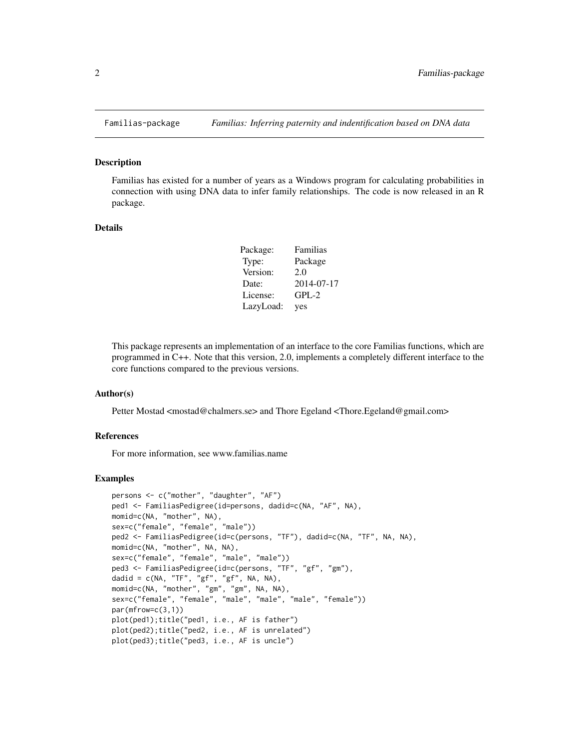<span id="page-1-0"></span>

#### Description

Familias has existed for a number of years as a Windows program for calculating probabilities in connection with using DNA data to infer family relationships. The code is now released in an R package.

#### Details

| Package:  | Familias   |
|-----------|------------|
| Type:     | Package    |
| Version:  | 2.0        |
| Date:     | 2014-07-17 |
| License:  | $GPL-2$    |
| LazyLoad: | yes        |

This package represents an implementation of an interface to the core Familias functions, which are programmed in C++. Note that this version, 2.0, implements a completely different interface to the core functions compared to the previous versions.

#### Author(s)

Petter Mostad <mostad@chalmers.se> and Thore Egeland <Thore.Egeland@gmail.com>

#### References

For more information, see www.familias.name

```
persons <- c("mother", "daughter", "AF")
ped1 <- FamiliasPedigree(id=persons, dadid=c(NA, "AF", NA),
momid=c(NA, "mother", NA),
sex=c("female", "female", "male"))
ped2 <- FamiliasPedigree(id=c(persons, "TF"), dadid=c(NA, "TF", NA, NA),
momid=c(NA, "mother", NA, NA),
sex=c("female", "female", "male", "male"))
ped3 <- FamiliasPedigree(id=c(persons, "TF", "gf", "gm"),
dadid = c(NA, "TF", "gf", "gf", NA, NA),
momid=c(NA, "mother", "gm", "gm", NA, NA),
sex=c("female", "female", "male", "male", "male", "female"))
par(mfrow=c(3,1))
plot(ped1);title("ped1, i.e., AF is father")
plot(ped2);title("ped2, i.e., AF is unrelated")
plot(ped3);title("ped3, i.e., AF is uncle")
```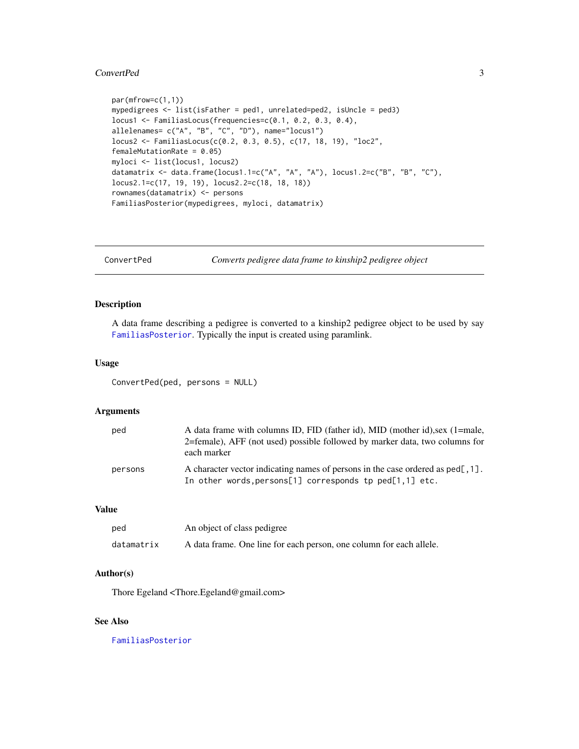#### <span id="page-2-0"></span>ConvertPed 3

```
par(mfrow=c(1,1))
mypedigrees <- list(isFather = ped1, unrelated=ped2, isUncle = ped3)
locus1 <- FamiliasLocus(frequencies=c(0.1, 0.2, 0.3, 0.4),
allelenames= c("A", "B", "C", "D"), name="locus1")
locus2 <- FamiliasLocus(c(0.2, 0.3, 0.5), c(17, 18, 19), "loc2",
femaleMutationRate = 0.05)
myloci <- list(locus1, locus2)
datamatrix <- data.frame(locus1.1=c("A", "A", "A"), locus1.2=c("B", "B", "C"),
locus2.1=c(17, 19, 19), locus2.2=c(18, 18, 18))
rownames(datamatrix) <- persons
FamiliasPosterior(mypedigrees, myloci, datamatrix)
```
ConvertPed *Converts pedigree data frame to kinship2 pedigree object*

# Description

A data frame describing a pedigree is converted to a kinship2 pedigree object to be used by say [FamiliasPosterior](#page-8-1). Typically the input is created using paramlink.

# Usage

ConvertPed(ped, persons = NULL)

# Arguments

| ped     | A data frame with columns ID, FID (father id), MID (mother id), sex (1=male,<br>2=female), AFF (not used) possible followed by marker data, two columns for<br>each marker |
|---------|----------------------------------------------------------------------------------------------------------------------------------------------------------------------------|
| persons | A character vector indicating names of persons in the case ordered as ped[, 1].<br>In other words, persons[1] corresponds tp ped[1,1] etc.                                 |

# Value

| ped        | An object of class pedigree                                         |
|------------|---------------------------------------------------------------------|
| datamatrix | A data frame. One line for each person, one column for each allele. |

# Author(s)

Thore Egeland <Thore.Egeland@gmail.com>

#### See Also

[FamiliasPosterior](#page-8-1)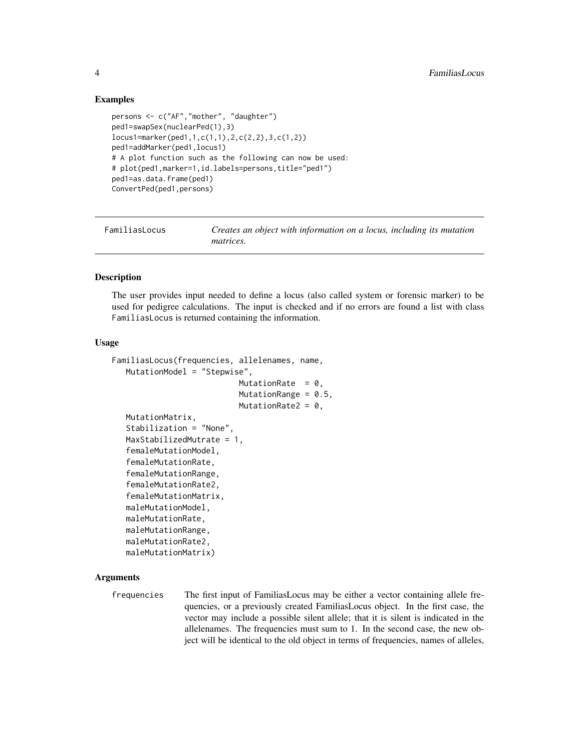# Examples

```
persons <- c("AF","mother", "daughter")
ped1=swapSex(nuclearPed(1),3)
locus1=marker(ped1,1,c(1,1),2,c(2,2),3,c(1,2))
ped1=addMarker(ped1,locus1)
# A plot function such as the following can now be used:
# plot(ped1,marker=1,id.labels=persons,title="ped1")
ped1=as.data.frame(ped1)
ConvertPed(ped1,persons)
```
FamiliasLocus *Creates an object with information on a locus, including its mutation matrices.*

#### Description

The user provides input needed to define a locus (also called system or forensic marker) to be used for pedigree calculations. The input is checked and if no errors are found a list with class FamiliasLocus is returned containing the information.

#### Usage

```
FamiliasLocus(frequencies, allelenames, name,
   MutationModel = "Stepwise",
                           MutationRate = 0,
                           MutationRange = 0.5,
                           MutationRate2 = 0,
   MutationMatrix,
   Stabilization = "None",
   MaxStabilizedMutrate = 1,
   femaleMutationModel,
   femaleMutationRate,
   femaleMutationRange,
   femaleMutationRate2,
   femaleMutationMatrix,
   maleMutationModel,
   maleMutationRate,
   maleMutationRange,
   maleMutationRate2,
   maleMutationMatrix)
```
# Arguments

frequencies The first input of FamiliasLocus may be either a vector containing allele frequencies, or a previously created FamiliasLocus object. In the first case, the vector may include a possible silent allele; that it is silent is indicated in the allelenames. The frequencies must sum to 1. In the second case, the new object will be identical to the old object in terms of frequencies, names of alleles,

<span id="page-3-0"></span>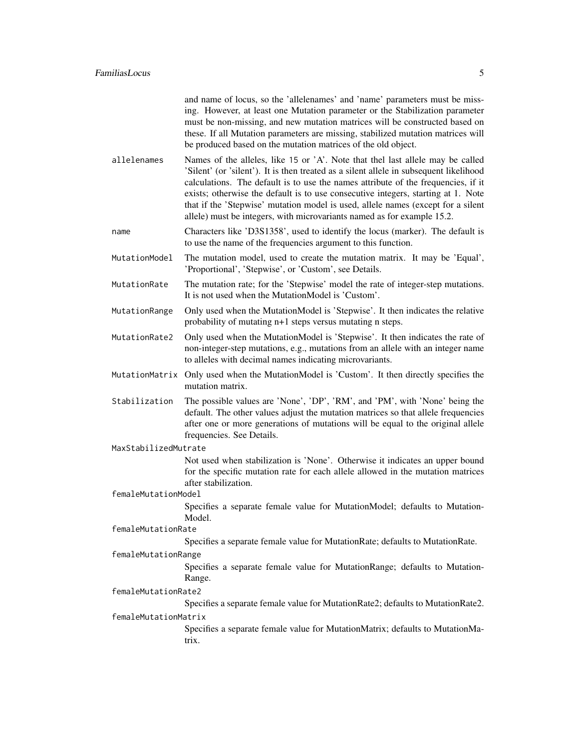|                     | and name of locus, so the 'allelenames' and 'name' parameters must be miss-<br>ing. However, at least one Mutation parameter or the Stabilization parameter<br>must be non-missing, and new mutation matrices will be constructed based on<br>these. If all Mutation parameters are missing, stabilized mutation matrices will<br>be produced based on the mutation matrices of the old object.                                                                                                                   |
|---------------------|-------------------------------------------------------------------------------------------------------------------------------------------------------------------------------------------------------------------------------------------------------------------------------------------------------------------------------------------------------------------------------------------------------------------------------------------------------------------------------------------------------------------|
| allelenames         | Names of the alleles, like 15 or 'A'. Note that thel last allele may be called<br>'Silent' (or 'silent'). It is then treated as a silent allele in subsequent likelihood<br>calculations. The default is to use the names attribute of the frequencies, if it<br>exists; otherwise the default is to use consecutive integers, starting at 1. Note<br>that if the 'Stepwise' mutation model is used, allele names (except for a silent<br>allele) must be integers, with microvariants named as for example 15.2. |
| name                | Characters like 'D3S1358', used to identify the locus (marker). The default is<br>to use the name of the frequencies argument to this function.                                                                                                                                                                                                                                                                                                                                                                   |
| MutationModel       | The mutation model, used to create the mutation matrix. It may be 'Equal',<br>'Proportional', 'Stepwise', or 'Custom', see Details.                                                                                                                                                                                                                                                                                                                                                                               |
| MutationRate        | The mutation rate; for the 'Stepwise' model the rate of integer-step mutations.<br>It is not used when the Mutation Model is 'Custom'.                                                                                                                                                                                                                                                                                                                                                                            |
| MutationRange       | Only used when the MutationModel is 'Stepwise'. It then indicates the relative<br>probability of mutating n+1 steps versus mutating n steps.                                                                                                                                                                                                                                                                                                                                                                      |
| MutationRate2       | Only used when the MutationModel is 'Stepwise'. It then indicates the rate of<br>non-integer-step mutations, e.g., mutations from an allele with an integer name<br>to alleles with decimal names indicating microvariants.                                                                                                                                                                                                                                                                                       |
|                     | MutationMatrix Only used when the MutationModel is 'Custom'. It then directly specifies the<br>mutation matrix.                                                                                                                                                                                                                                                                                                                                                                                                   |
| Stabilization       | The possible values are 'None', 'DP', 'RM', and 'PM', with 'None' being the<br>default. The other values adjust the mutation matrices so that allele frequencies<br>after one or more generations of mutations will be equal to the original allele<br>frequencies. See Details.                                                                                                                                                                                                                                  |
|                     | MaxStabilizedMutrate                                                                                                                                                                                                                                                                                                                                                                                                                                                                                              |
|                     | Not used when stabilization is 'None'. Otherwise it indicates an upper bound<br>for the specific mutation rate for each allele allowed in the mutation matrices<br>after stabilization.                                                                                                                                                                                                                                                                                                                           |
| femaleMutationModel |                                                                                                                                                                                                                                                                                                                                                                                                                                                                                                                   |
|                     | Specifies a separate female value for MutationModel; defaults to Mutation-<br>Model.                                                                                                                                                                                                                                                                                                                                                                                                                              |
| femaleMutationRate  | Specifies a separate female value for MutationRate; defaults to MutationRate.                                                                                                                                                                                                                                                                                                                                                                                                                                     |
| femaleMutationRange |                                                                                                                                                                                                                                                                                                                                                                                                                                                                                                                   |
|                     | Specifies a separate female value for MutationRange; defaults to Mutation-                                                                                                                                                                                                                                                                                                                                                                                                                                        |
|                     | Range.                                                                                                                                                                                                                                                                                                                                                                                                                                                                                                            |
| femaleMutationRate2 |                                                                                                                                                                                                                                                                                                                                                                                                                                                                                                                   |
|                     | Specifies a separate female value for MutationRate2; defaults to MutationRate2.                                                                                                                                                                                                                                                                                                                                                                                                                                   |
|                     | femaleMutationMatrix                                                                                                                                                                                                                                                                                                                                                                                                                                                                                              |
|                     | Specifies a separate female value for MutationMatrix; defaults to MutationMa-<br>trix.                                                                                                                                                                                                                                                                                                                                                                                                                            |
|                     |                                                                                                                                                                                                                                                                                                                                                                                                                                                                                                                   |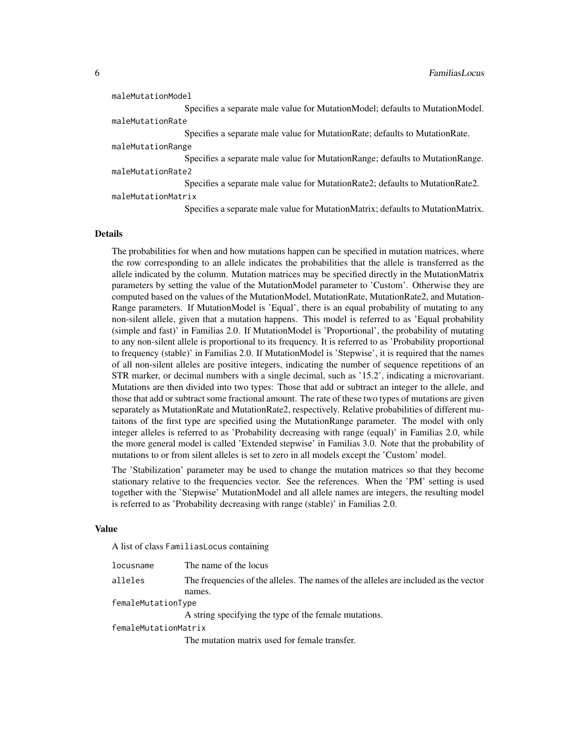| maleMutationModel  |                                                                                 |
|--------------------|---------------------------------------------------------------------------------|
|                    | Specifies a separate male value for MutationModel; defaults to MutationModel.   |
| maleMutationRate   |                                                                                 |
|                    | Specifies a separate male value for Mutation Rate; defaults to Mutation Rate.   |
| maleMutationRange  |                                                                                 |
|                    | Specifies a separate male value for Mutation Range; defaults to Mutation Range. |
| maleMutationRate2  |                                                                                 |
|                    | Specifies a separate male value for MutationRate2; defaults to MutationRate2.   |
| maleMutationMatrix |                                                                                 |

Specifies a separate male value for MutationMatrix; defaults to MutationMatrix.

#### Details

The probabilities for when and how mutations happen can be specified in mutation matrices, where the row corresponding to an allele indicates the probabilities that the allele is transferred as the allele indicated by the column. Mutation matrices may be specified directly in the MutationMatrix parameters by setting the value of the MutationModel parameter to 'Custom'. Otherwise they are computed based on the values of the MutationModel, MutationRate, MutationRate2, and Mutation-Range parameters. If MutationModel is 'Equal', there is an equal probability of mutating to any non-silent allele, given that a mutation happens. This model is referred to as 'Equal probability (simple and fast)' in Familias 2.0. If MutationModel is 'Proportional', the probability of mutating to any non-silent allele is proportional to its frequency. It is referred to as 'Probability proportional to frequency (stable)' in Familias 2.0. If MutationModel is 'Stepwise', it is required that the names of all non-silent alleles are positive integers, indicating the number of sequence repetitions of an STR marker, or decimal numbers with a single decimal, such as '15.2', indicating a microvariant. Mutations are then divided into two types: Those that add or subtract an integer to the allele, and those that add or subtract some fractional amount. The rate of these two types of mutations are given separately as MutationRate and MutationRate2, respectively. Relative probabilities of different mutaitons of the first type are specified using the MutationRange parameter. The model with only integer alleles is referred to as 'Probability decreasing with range (equal)' in Familias 2.0, while the more general model is called 'Extended stepwise' in Familias 3.0. Note that the probability of mutations to or from silent alleles is set to zero in all models except the 'Custom' model.

The 'Stabilization' parameter may be used to change the mutation matrices so that they become stationary relative to the frequencies vector. See the references. When the 'PM' setting is used together with the 'Stepwise' MutationModel and all allele names are integers, the resulting model is referred to as 'Probability decreasing with range (stable)' in Familias 2.0.

#### Value

A list of class FamiliasLocus containing

| locusname            | The name of the locus                                                               |  |
|----------------------|-------------------------------------------------------------------------------------|--|
| alleles              | The frequencies of the alleles. The names of the alleles are included as the vector |  |
|                      | names.                                                                              |  |
| femaleMutationType   |                                                                                     |  |
|                      | A string specifying the type of the female mutations.                               |  |
| femaleMutationMatrix |                                                                                     |  |
|                      | The mutation matrix used for female transfer.                                       |  |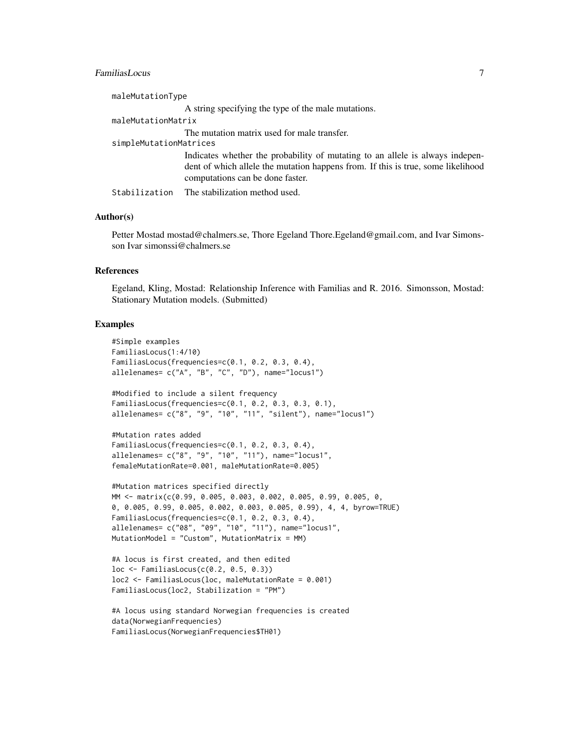# FamiliasLocus 7

| maleMutationType       |                                                                                                                                                                                                       |
|------------------------|-------------------------------------------------------------------------------------------------------------------------------------------------------------------------------------------------------|
|                        | A string specifying the type of the male mutations.                                                                                                                                                   |
| maleMutationMatrix     |                                                                                                                                                                                                       |
|                        | The mutation matrix used for male transfer.                                                                                                                                                           |
| simpleMutationMatrices |                                                                                                                                                                                                       |
|                        | Indicates whether the probability of mutating to an allele is always indepen-<br>dent of which allele the mutation happens from. If this is true, some likelihood<br>computations can be done faster. |
|                        | Stabilization The stabilization method used.                                                                                                                                                          |

#### Author(s)

Petter Mostad mostad@chalmers.se, Thore Egeland Thore.Egeland@gmail.com, and Ivar Simonsson Ivar simonssi@chalmers.se

# References

Egeland, Kling, Mostad: Relationship Inference with Familias and R. 2016. Simonsson, Mostad: Stationary Mutation models. (Submitted)

```
#Simple examples
FamiliasLocus(1:4/10)
FamiliasLocus(frequencies=c(0.1, 0.2, 0.3, 0.4),
allelenames= c("A", "B", "C", "D"), name="locus1")
#Modified to include a silent frequency
FamiliasLocus(frequencies=c(0.1, 0.2, 0.3, 0.3, 0.1),
allelenames= c("8", "9", "10", "11", "silent"), name="locus1")
#Mutation rates added
FamiliasLocus(frequencies=c(0.1, 0.2, 0.3, 0.4),
allelenames= c("8", "9", "10", "11"), name="locus1",
femaleMutationRate=0.001, maleMutationRate=0.005)
#Mutation matrices specified directly
MM <- matrix(c(0.99, 0.005, 0.003, 0.002, 0.005, 0.99, 0.005, 0,
0, 0.005, 0.99, 0.005, 0.002, 0.003, 0.005, 0.99), 4, 4, byrow=TRUE)
FamiliasLocus(frequencies=c(0.1, 0.2, 0.3, 0.4),
allelenames= c("08", "09", "10", "11"), name="locus1",
MutationModel = "Custom", MutationMatrix = MM)
#A locus is first created, and then edited
loc <- FamiliasLocus(c(0.2, 0.5, 0.3))
loc2 <- FamiliasLocus(loc, maleMutationRate = 0.001)
FamiliasLocus(loc2, Stabilization = "PM")
```

```
#A locus using standard Norwegian frequencies is created
data(NorwegianFrequencies)
FamiliasLocus(NorwegianFrequencies$TH01)
```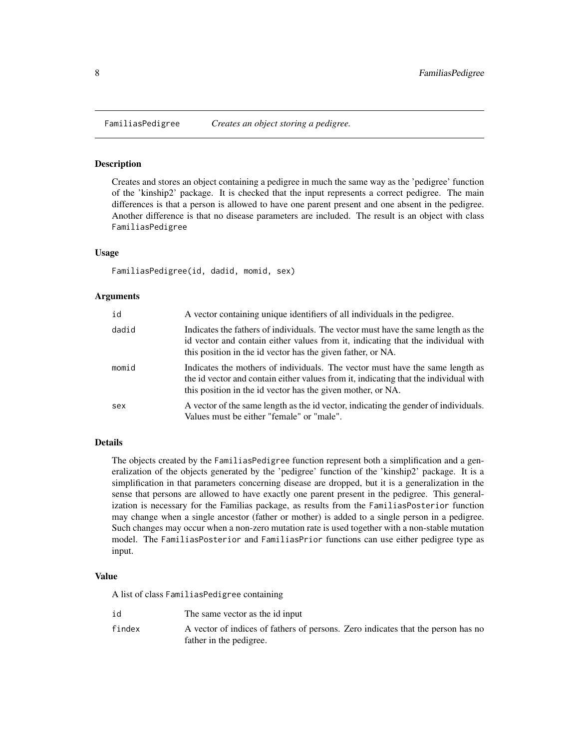<span id="page-7-0"></span>

#### Description

Creates and stores an object containing a pedigree in much the same way as the 'pedigree' function of the 'kinship2' package. It is checked that the input represents a correct pedigree. The main differences is that a person is allowed to have one parent present and one absent in the pedigree. Another difference is that no disease parameters are included. The result is an object with class FamiliasPedigree

#### Usage

FamiliasPedigree(id, dadid, momid, sex)

#### Arguments

| id    | A vector containing unique identifiers of all individuals in the pedigree.                                                                                                                                                           |
|-------|--------------------------------------------------------------------------------------------------------------------------------------------------------------------------------------------------------------------------------------|
| dadid | Indicates the fathers of individuals. The vector must have the same length as the<br>id vector and contain either values from it, indicating that the individual with<br>this position in the id vector has the given father, or NA. |
| momid | Indicates the mothers of individuals. The vector must have the same length as<br>the id vector and contain either values from it, indicating that the individual with<br>this position in the id vector has the given mother, or NA. |
| sex   | A vector of the same length as the id vector, indicating the gender of individuals.<br>Values must be either "female" or "male".                                                                                                     |

# Details

The objects created by the FamiliasPedigree function represent both a simplification and a generalization of the objects generated by the 'pedigree' function of the 'kinship2' package. It is a simplification in that parameters concerning disease are dropped, but it is a generalization in the sense that persons are allowed to have exactly one parent present in the pedigree. This generalization is necessary for the Familias package, as results from the FamiliasPosterior function may change when a single ancestor (father or mother) is added to a single person in a pedigree. Such changes may occur when a non-zero mutation rate is used together with a non-stable mutation model. The FamiliasPosterior and FamiliasPrior functions can use either pedigree type as input.

#### Value

A list of class FamiliasPedigree containing

id The same vector as the id input findex A vector of indices of fathers of persons. Zero indicates that the person has no father in the pedigree.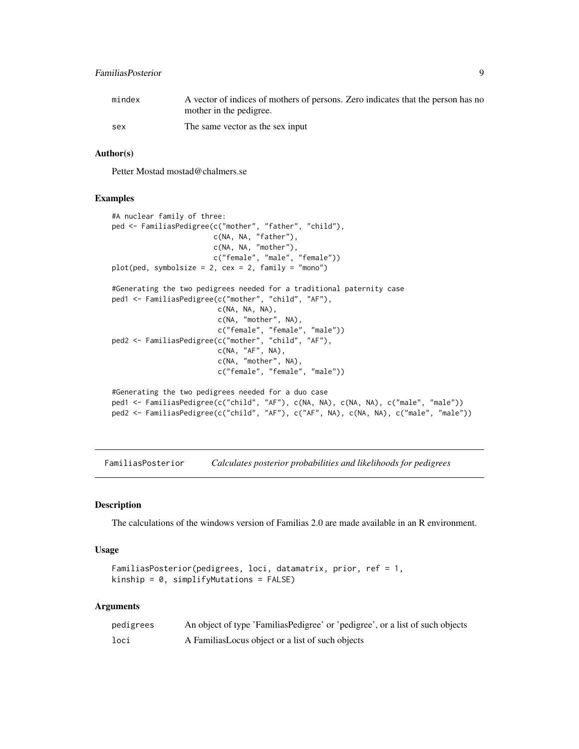# <span id="page-8-0"></span>FamiliasPosterior 9

| mindex | A vector of indices of mothers of persons. Zero indicates that the person has no |
|--------|----------------------------------------------------------------------------------|
|        | mother in the pedigree.                                                          |
| sex    | The same vector as the sex input                                                 |

#### Author(s)

Petter Mostad mostad@chalmers.se

# Examples

```
#A nuclear family of three:
ped <- FamiliasPedigree(c("mother", "father", "child"),
                        c(NA, NA, "father"),
                        c(NA, NA, "mother"),
                        c("female", "male", "female"))
plot(ped, symbolsize = 2, cex = 2, family = "mono")#Generating the two pedigrees needed for a traditional paternity case
ped1 <- FamiliasPedigree(c("mother", "child", "AF"),
                        c(NA, NA, NA),
                        c(NA, "mother", NA),
                        c("female", "female", "male"))
ped2 <- FamiliasPedigree(c("mother", "child", "AF"),
                        c(NA, "AF", NA),
                         c(NA, "mother", NA),
                         c("female", "female", "male"))
#Generating the two pedigrees needed for a duo case
ped1 <- FamiliasPedigree(c("child", "AF"), c(NA, NA), c(NA, NA), c("male", "male"))
ped2 <- FamiliasPedigree(c("child", "AF"), c("AF", NA), c(NA, NA), c("male", "male"))
```
<span id="page-8-1"></span>FamiliasPosterior *Calculates posterior probabilities and likelihoods for pedigrees*

# Description

The calculations of the windows version of Familias 2.0 are made available in an R environment.

#### Usage

```
FamiliasPosterior(pedigrees, loci, datamatrix, prior, ref = 1,
kinship = 0, simplifyMutations = FALSE)
```
#### Arguments

| pedigrees | An object of type 'FamiliasPedigree' or 'pedigree', or a list of such objects |
|-----------|-------------------------------------------------------------------------------|
| loci      | A Familias Locus object or a list of such objects                             |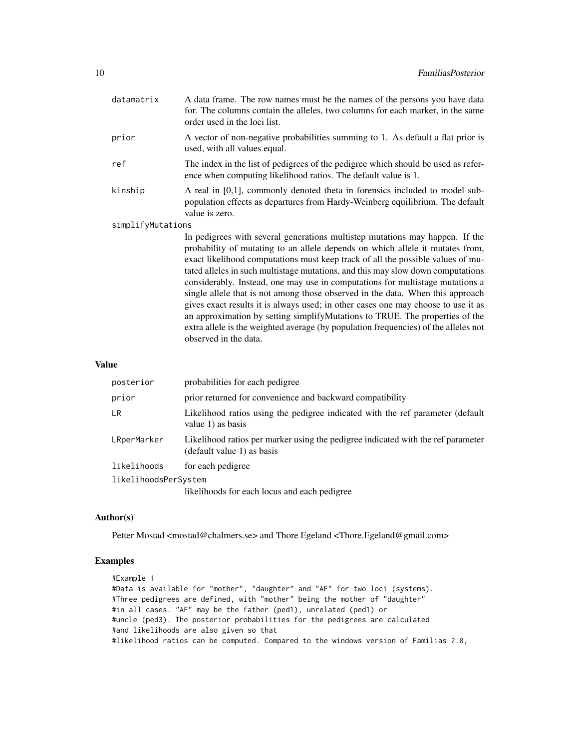| datamatrix        | A data frame. The row names must be the names of the persons you have data<br>for. The columns contain the alleles, two columns for each marker, in the same<br>order used in the loci list.                                                                                                                                                                                                                                                                                                                                                                                                                                                                                 |
|-------------------|------------------------------------------------------------------------------------------------------------------------------------------------------------------------------------------------------------------------------------------------------------------------------------------------------------------------------------------------------------------------------------------------------------------------------------------------------------------------------------------------------------------------------------------------------------------------------------------------------------------------------------------------------------------------------|
| prior             | A vector of non-negative probabilities summing to 1. As default a flat prior is<br>used, with all values equal.                                                                                                                                                                                                                                                                                                                                                                                                                                                                                                                                                              |
| ref               | The index in the list of pedigrees of the pedigree which should be used as refer-<br>ence when computing likelihood ratios. The default value is 1.                                                                                                                                                                                                                                                                                                                                                                                                                                                                                                                          |
| kinship           | A real in $[0,1]$ , commonly denoted theta in forensics included to model sub-<br>population effects as departures from Hardy-Weinberg equilibrium. The default<br>value is zero.                                                                                                                                                                                                                                                                                                                                                                                                                                                                                            |
| simplifyMutations |                                                                                                                                                                                                                                                                                                                                                                                                                                                                                                                                                                                                                                                                              |
|                   | In pedigrees with several generations multistep mutations may happen. If the<br>probability of mutating to an allele depends on which allele it mutates from,<br>exact likelihood computations must keep track of all the possible values of mu-<br>tated alleles in such multistage mutations, and this may slow down computations<br>considerably. Instead, one may use in computations for multistage mutations a<br>single allele that is not among those observed in the data. When this approach<br>gives exact results it is always used; in other cases one may choose to use it as<br>an approximation by setting simplify Mutations to TRUE. The properties of the |

#### Value

| posterior            | probabilities for each pedigree                                                                                |
|----------------------|----------------------------------------------------------------------------------------------------------------|
| prior                | prior returned for convenience and backward compatibility                                                      |
| <b>LR</b>            | Likelihood ratios using the pedigree indicated with the ref parameter (default<br>value 1) as basis            |
| LRperMarker          | Likelihood ratios per marker using the pedigree indicated with the ref parameter<br>(default value 1) as basis |
| likelihoods          | for each pedigree                                                                                              |
| likelihoodsPerSystem |                                                                                                                |
|                      | likelihoods for each locus and each pedigree                                                                   |
|                      |                                                                                                                |

observed in the data.

extra allele is the weighted average (by population frequencies) of the alleles not

# Author(s)

Petter Mostad <mostad@chalmers.se> and Thore Egeland <Thore.Egeland@gmail.com>

```
#Example 1
#Data is available for "mother", "daughter" and "AF" for two loci (systems).
#Three pedigrees are defined, with "mother" being the mother of "daughter"
#in all cases. "AF" may be the father (ped1), unrelated (ped1) or
#uncle (ped3). The posterior probabilities for the pedigrees are calculated
#and likelihoods are also given so that
#likelihood ratios can be computed. Compared to the windows version of Familias 2.0,
```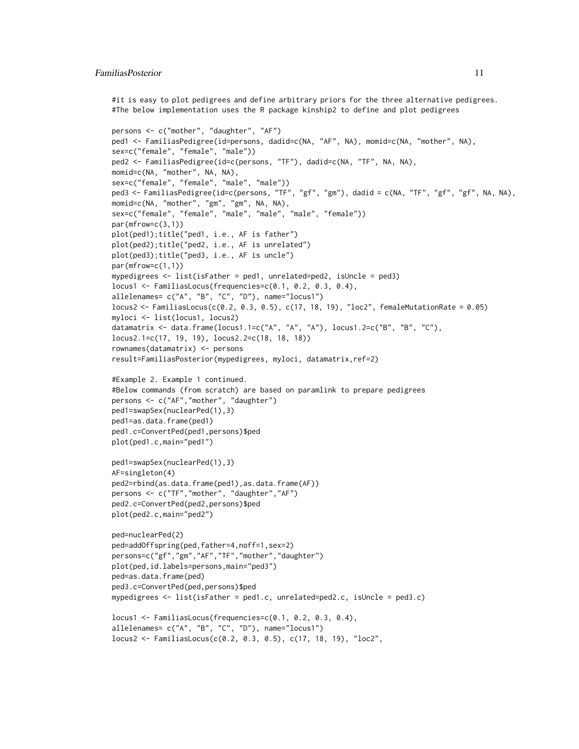#### FamiliasPosterior 11

#it is easy to plot pedigrees and define arbitrary priors for the three alternative pedigrees. #The below implementation uses the R package kinship2 to define and plot pedigrees

```
persons <- c("mother", "daughter", "AF")
ped1 <- FamiliasPedigree(id=persons, dadid=c(NA, "AF", NA), momid=c(NA, "mother", NA),
sex=c("female", "female", "male"))
ped2 <- FamiliasPedigree(id=c(persons, "TF"), dadid=c(NA, "TF", NA, NA),
momid=c(NA, "mother", NA, NA),
sex=c("female", "female", "male", "male"))
ped3 <- FamiliasPedigree(id=c(persons, "TF", "gf", "gm"), dadid = c(NA, "TF", "gf", "gf", NA, NA),
momid=c(NA, "mother", "gm", "gm", NA, NA),
sex=c("female", "female", "male", "male", "male", "female"))
par(mfrow=c(3,1))
plot(ped1);title("ped1, i.e., AF is father")
plot(ped2);title("ped2, i.e., AF is unrelated")
plot(ped3);title("ped3, i.e., AF is uncle")
par(mfrow=c(1,1))
mypedigrees <- list(isFather = ped1, unrelated=ped2, isUncle = ped3)
locus1 <- FamiliasLocus(frequencies=c(0.1, 0.2, 0.3, 0.4),
allelenames= c("A", "B", "C", "D"), name="locus1")
locus2 <- FamiliasLocus(c(0.2, 0.3, 0.5), c(17, 18, 19), "loc2", femaleMutationRate = 0.05)
myloci <- list(locus1, locus2)
datamatrix <- data.frame(locus1.1=c("A", "A", "A"), locus1.2=c("B", "B", "C"),
locus2.1=c(17, 19, 19), locus2.2=c(18, 18, 18))
rownames(datamatrix) <- persons
result=FamiliasPosterior(mypedigrees, myloci, datamatrix,ref=2)
#Example 2. Example 1 continued.
#Below commands (from scratch) are based on paramlink to prepare pedigrees
persons <- c("AF","mother", "daughter")
ped1=swapSex(nuclearPed(1),3)
ped1=as.data.frame(ped1)
ped1.c=ConvertPed(ped1,persons)$ped
plot(ped1.c,main="ped1")
ped1=swapSex(nuclearPed(1),3)
AF=singleton(4)
ped2=rbind(as.data.frame(ped1),as.data.frame(AF))
persons <- c("TF","mother", "daughter","AF")
ped2.c=ConvertPed(ped2,persons)$ped
plot(ped2.c,main="ped2")
ped=nuclearPed(2)
ped=addOffspring(ped,father=4,noff=1,sex=2)
persons=c("gf","gm","AF","TF","mother","daughter")
plot(ped,id.labels=persons,main="ped3")
ped=as.data.frame(ped)
ped3.c=ConvertPed(ped,persons)$ped
mypedigrees <- list(isFather = ped1.c, unrelated=ped2.c, isUncle = ped3.c)
locus1 <- FamiliasLocus(frequencies=c(0.1, 0.2, 0.3, 0.4),
```

```
allelenames= c("A", "B", "C", "D"), name="locus1")
locus2 <- FamiliasLocus(c(0.2, 0.3, 0.5), c(17, 18, 19), "loc2",
```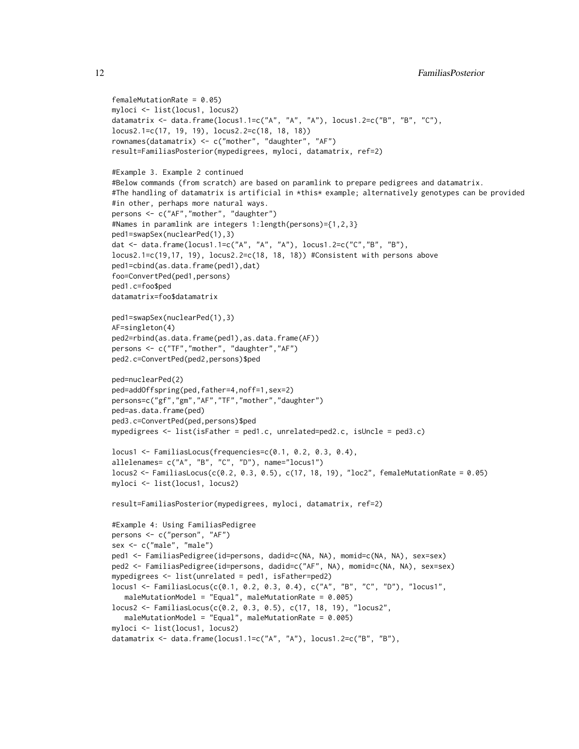```
femaleMutationRate = 0.05)
myloci <- list(locus1, locus2)
datamatrix <- data.frame(locus1.1=c("A", "A", "A"), locus1.2=c("B", "B", "C"),
locus2.1=c(17, 19, 19), locus2.2=c(18, 18, 18))
rownames(datamatrix) <- c("mother", "daughter", "AF")
result=FamiliasPosterior(mypedigrees, myloci, datamatrix, ref=2)
#Example 3. Example 2 continued
#Below commands (from scratch) are based on paramlink to prepare pedigrees and datamatrix.
#The handling of datamatrix is artificial in *this* example; alternatively genotypes can be provided
#in other, perhaps more natural ways.
persons <- c("AF","mother", "daughter")
#Names in paramlink are integers 1:length(persons)={1,2,3}
ped1=swapSex(nuclearPed(1),3)
dat <- data.frame(locus1.1=c("A", "A", "A"), locus1.2=c("C","B", "B"),
locus2.1=c(19,17, 19), locus2.2=c(18, 18, 18)) #Consistent with persons above
ped1=cbind(as.data.frame(ped1),dat)
foo=ConvertPed(ped1,persons)
ped1.c=foo$ped
datamatrix=foo$datamatrix
ped1=swapSex(nuclearPed(1),3)
AF=singleton(4)
ped2=rbind(as.data.frame(ped1),as.data.frame(AF))
persons <- c("TF","mother", "daughter","AF")
ped2.c=ConvertPed(ped2,persons)$ped
ped=nuclearPed(2)
ped=addOffspring(ped,father=4,noff=1,sex=2)
persons=c("gf","gm","AF","TF","mother","daughter")
ped=as.data.frame(ped)
ped3.c=ConvertPed(ped,persons)$ped
mypedigrees <- list(isFather = ped1.c, unrelated=ped2.c, isUncle = ped3.c)
locus1 <- FamiliasLocus(frequencies=c(0.1, 0.2, 0.3, 0.4),
allelenames= c("A", "B", "C", "D"), name="locus1")
locus2 <- FamiliasLocus(c(0.2, 0.3, 0.5), c(17, 18, 19), "loc2", femaleMutationRate = 0.05)
myloci <- list(locus1, locus2)
result=FamiliasPosterior(mypedigrees, myloci, datamatrix, ref=2)
#Example 4: Using FamiliasPedigree
persons <- c("person", "AF")
sex <- c("male", "male")
ped1 <- FamiliasPedigree(id=persons, dadid=c(NA, NA), momid=c(NA, NA), sex=sex)
ped2 <- FamiliasPedigree(id=persons, dadid=c("AF", NA), momid=c(NA, NA), sex=sex)
mypedigrees <- list(unrelated = ped1, isFather=ped2)
locus1 <- FamiliasLocus(c(0.1, 0.2, 0.3, 0.4), c("A", "B", "C", "D"), "locus1",
  maleMutationModel = "Equal", maleMutationRate = 0.005)
locus2 <- FamiliasLocus(c(0.2, 0.3, 0.5), c(17, 18, 19), "locus2",
  maleMutationModel = "Equal", maleMutationRate = 0.005)
myloci <- list(locus1, locus2)
datamatrix <- data.frame(locus1.1=c("A", "A"), locus1.2=c("B", "B"),
```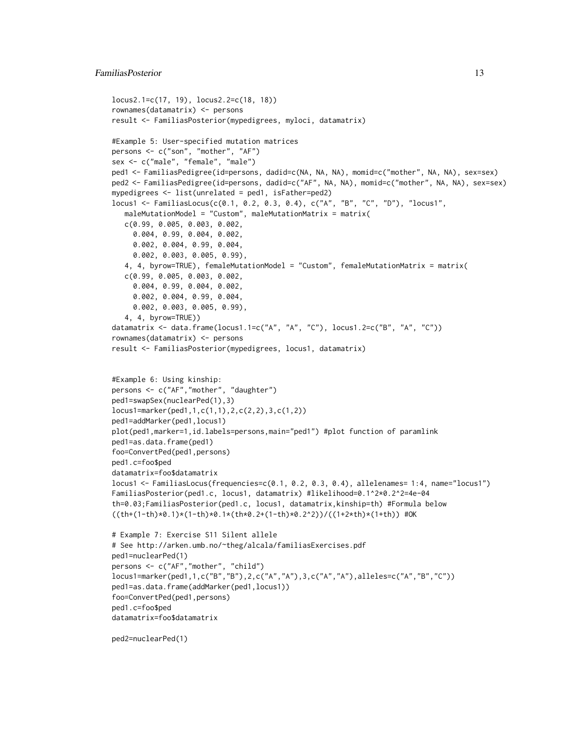#### FamiliasPosterior 13

```
locus2.1=c(17, 19), locus2.2=c(18, 18))
rownames(datamatrix) <- persons
result <- FamiliasPosterior(mypedigrees, myloci, datamatrix)
#Example 5: User-specified mutation matrices
persons <- c("son", "mother", "AF")
sex <- c("male", "female", "male")
ped1 <- FamiliasPedigree(id=persons, dadid=c(NA, NA, NA), momid=c("mother", NA, NA), sex=sex)
ped2 <- FamiliasPedigree(id=persons, dadid=c("AF", NA, NA), momid=c("mother", NA, NA), sex=sex)
mypedigrees <- list(unrelated = ped1, isFather=ped2)
locus1 <- FamiliasLocus(c(0.1, 0.2, 0.3, 0.4), c("A", "B", "C", "D"), "locus1",
   maleMutationModel = "Custom", maleMutationMatrix = matrix(
   c(0.99, 0.005, 0.003, 0.002,
     0.004, 0.99, 0.004, 0.002,
     0.002, 0.004, 0.99, 0.004,
     0.002, 0.003, 0.005, 0.99),
   4, 4, byrow=TRUE), femaleMutationModel = "Custom", femaleMutationMatrix = matrix(
   c(0.99, 0.005, 0.003, 0.002,
     0.004, 0.99, 0.004, 0.002,
     0.002, 0.004, 0.99, 0.004,
     0.002, 0.003, 0.005, 0.99),
   4, 4, byrow=TRUE))
datamatrix <- data.frame(locus1.1=c("A", "A", "C"), locus1.2=c("B", "A", "C"))
rownames(datamatrix) <- persons
result <- FamiliasPosterior(mypedigrees, locus1, datamatrix)
#Example 6: Using kinship:
persons <- c("AF","mother", "daughter")
ped1=swapSex(nuclearPed(1),3)
locus1=marker(ped1,1,c(1,1),2,c(2,2),3,c(1,2))
ped1=addMarker(ped1,locus1)
plot(ped1,marker=1,id.labels=persons,main="ped1") #plot function of paramlink
ped1=as.data.frame(ped1)
foo=ConvertPed(ped1,persons)
ped1.c=foo$ped
datamatrix=foo$datamatrix
locus1 <- FamiliasLocus(frequencies=c(0.1, 0.2, 0.3, 0.4), allelenames= 1:4, name="locus1")
FamiliasPosterior(ped1.c, locus1, datamatrix) #likelihood=0.1^2*0.2^2=4e-04
th=0.03;FamiliasPosterior(ped1.c, locus1, datamatrix,kinship=th) #Formula below
((\text{th+(1-th)}\times 0.1)\times(1-\text{th})\times 0.1\times(\text{th}\times 0.2+(\text{1-th})\times 0.2\times 2))/((\text{1+2}\times \text{th})\times(\text{1-th})) #OK
# Example 7: Exercise S11 Silent allele
# See http://arken.umb.no/~theg/alcala/familiasExercises.pdf
ped1=nuclearPed(1)
persons <- c("AF","mother", "child")
locus1=marker(ped1,1,c("B","B"),2,c("A","A"),3,c("A","A"),alleles=c("A","B","C"))
ped1=as.data.frame(addMarker(ped1,locus1))
foo=ConvertPed(ped1,persons)
ped1.c=foo$ped
datamatrix=foo$datamatrix
ped2=nuclearPed(1)
```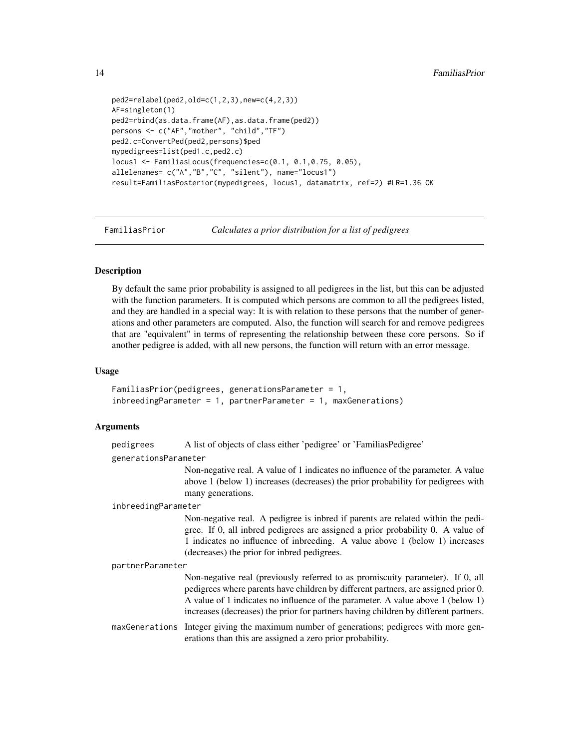```
ped2=relabel(ped2,old=c(1,2,3),new=c(4,2,3))
AF=singleton(1)
ped2=rbind(as.data.frame(AF),as.data.frame(ped2))
persons <- c("AF","mother", "child","TF")
ped2.c=ConvertPed(ped2,persons)$ped
mypedigrees=list(ped1.c,ped2.c)
locus1 <- FamiliasLocus(frequencies=c(0.1, 0.1,0.75, 0.05),
allelenames= c("A","B","C", "silent"), name="locus1")
result=FamiliasPosterior(mypedigrees, locus1, datamatrix, ref=2) #LR=1.36 OK
```
FamiliasPrior *Calculates a prior distribution for a list of pedigrees*

# Description

By default the same prior probability is assigned to all pedigrees in the list, but this can be adjusted with the function parameters. It is computed which persons are common to all the pedigrees listed, and they are handled in a special way: It is with relation to these persons that the number of generations and other parameters are computed. Also, the function will search for and remove pedigrees that are "equivalent" in terms of representing the relationship between these core persons. So if another pedigree is added, with all new persons, the function will return with an error message.

#### Usage

```
FamiliasPrior(pedigrees, generationsParameter = 1,
inbreedingParameter = 1, partnerParameter = 1, maxGenerations)
```
### Arguments

| pedigrees |  | A list of objects of class either 'pedigree' or 'FamiliasPedigree' |
|-----------|--|--------------------------------------------------------------------|
|           |  |                                                                    |

generationsParameter

Non-negative real. A value of 1 indicates no influence of the parameter. A value above 1 (below 1) increases (decreases) the prior probability for pedigrees with many generations.

#### inbreedingParameter

Non-negative real. A pedigree is inbred if parents are related within the pedigree. If 0, all inbred pedigrees are assigned a prior probability 0. A value of 1 indicates no influence of inbreeding. A value above 1 (below 1) increases (decreases) the prior for inbred pedigrees.

#### partnerParameter

Non-negative real (previously referred to as promiscuity parameter). If 0, all pedigrees where parents have children by different partners, are assigned prior 0. A value of 1 indicates no influence of the parameter. A value above 1 (below 1) increases (decreases) the prior for partners having children by different partners.

maxGenerations Integer giving the maximum number of generations; pedigrees with more generations than this are assigned a zero prior probability.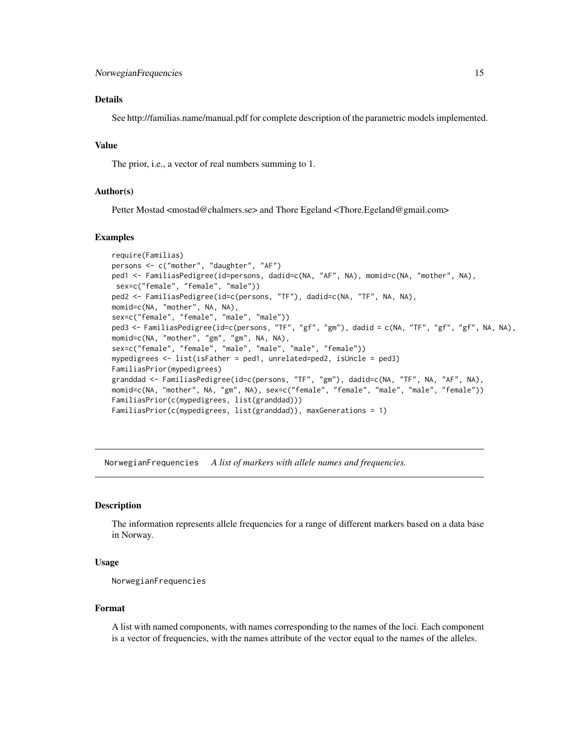#### <span id="page-14-0"></span>Details

See http://familias.name/manual.pdf for complete description of the parametric models implemented.

# Value

The prior, i.e., a vector of real numbers summing to 1.

# Author(s)

Petter Mostad <mostad@chalmers.se> and Thore Egeland <Thore.Egeland@gmail.com>

# Examples

```
require(Familias)
persons <- c("mother", "daughter", "AF")
ped1 <- FamiliasPedigree(id=persons, dadid=c(NA, "AF", NA), momid=c(NA, "mother", NA),
sex=c("female", "female", "male"))
ped2 <- FamiliasPedigree(id=c(persons, "TF"), dadid=c(NA, "TF", NA, NA),
momid=c(NA, "mother", NA, NA),
sex=c("female", "female", "male", "male"))
ped3 <- FamiliasPedigree(id=c(persons, "TF", "gf", "gm"), dadid = c(NA, "TF", "gf", "gf", NA, NA),
momid=c(NA, "mother", "gm", "gm", NA, NA),
sex=c("female", "female", "male", "male", "male", "female"))
mypedigrees <- list(isFather = ped1, unrelated=ped2, isUncle = ped3)
FamiliasPrior(mypedigrees)
granddad <- FamiliasPedigree(id=c(persons, "TF", "gm"), dadid=c(NA, "TF", NA, "AF", NA),
momid=c(NA, "mother", NA, "gm", NA), sex=c("female", "female", "male", "male", "female"))
FamiliasPrior(c(mypedigrees, list(granddad)))
FamiliasPrior(c(mypedigrees, list(granddad)), maxGenerations = 1)
```
NorwegianFrequencies *A list of markers with allele names and frequencies.*

# Description

The information represents allele frequencies for a range of different markers based on a data base in Norway.

# Usage

NorwegianFrequencies

#### Format

A list with named components, with names corresponding to the names of the loci. Each component is a vector of frequencies, with the names attribute of the vector equal to the names of the alleles.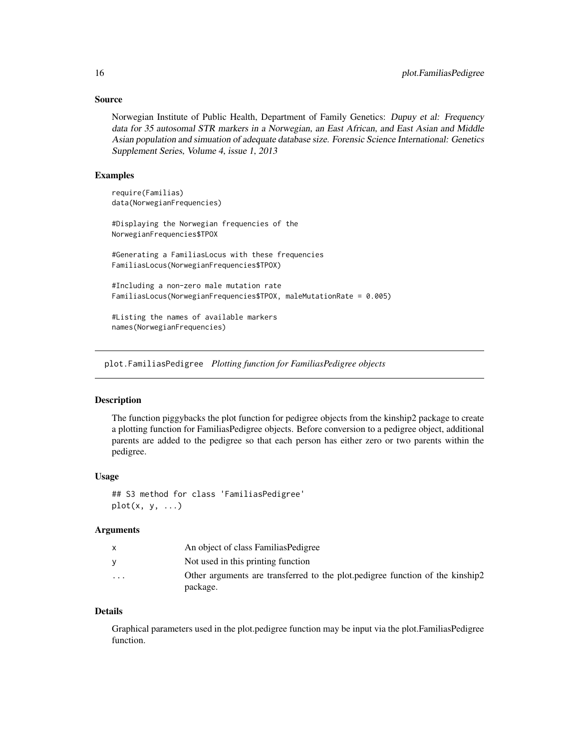# <span id="page-15-0"></span>Source

Norwegian Institute of Public Health, Department of Family Genetics: Dupuy et al: Frequency data for 35 autosomal STR markers in a Norwegian, an East African, and East Asian and Middle Asian population and simuation of adequate database size. Forensic Science International: Genetics Supplement Series, Volume 4, issue 1, 2013

#### Examples

```
require(Familias)
data(NorwegianFrequencies)
#Displaying the Norwegian frequencies of the
NorwegianFrequencies$TPOX
#Generating a FamiliasLocus with these frequencies
FamiliasLocus(NorwegianFrequencies$TPOX)
#Including a non-zero male mutation rate
FamiliasLocus(NorwegianFrequencies$TPOX, maleMutationRate = 0.005)
#Listing the names of available markers
names(NorwegianFrequencies)
```
plot.FamiliasPedigree *Plotting function for FamiliasPedigree objects*

# Description

The function piggybacks the plot function for pedigree objects from the kinship2 package to create a plotting function for FamiliasPedigree objects. Before conversion to a pedigree object, additional parents are added to the pedigree so that each person has either zero or two parents within the pedigree.

#### Usage

## S3 method for class 'FamiliasPedigree'  $plot(x, y, \ldots)$ 

# Arguments

|                         | An object of class Familias Pedigree                                                      |
|-------------------------|-------------------------------------------------------------------------------------------|
|                         | Not used in this printing function                                                        |
| $\cdot$ $\cdot$ $\cdot$ | Other arguments are transferred to the plot pedigree function of the kinship?<br>package. |

#### Details

Graphical parameters used in the plot.pedigree function may be input via the plot.FamiliasPedigree function.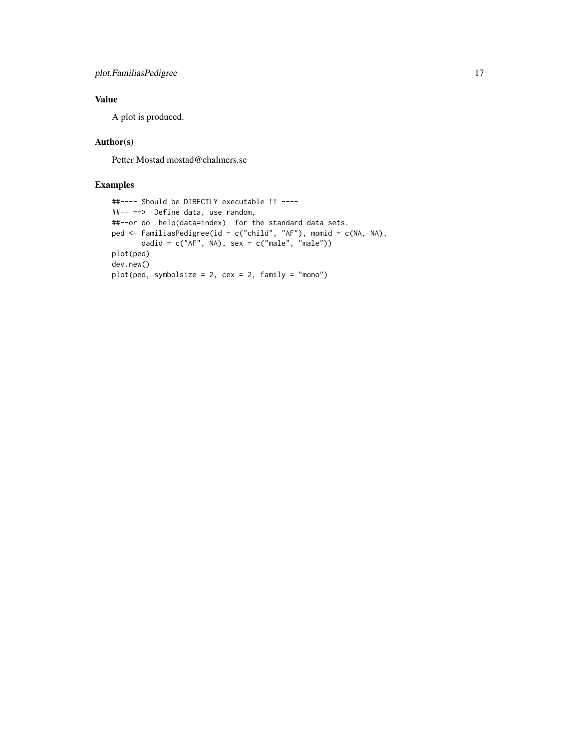# Value

A plot is produced.

# Author(s)

Petter Mostad mostad@chalmers.se

```
##---- Should be DIRECTLY executable !! ----
##-- ==> Define data, use random,
##--or do help(data=index) for the standard data sets.
ped <- FamiliasPedigree(id = c("child", "AF"), momid = c(NA, NA),
      dadid = c("AF", NA), sex = c("male", "male"))plot(ped)
dev.new()
plot(ped, symbolsize = 2, cex = 2, family = "mono")
```